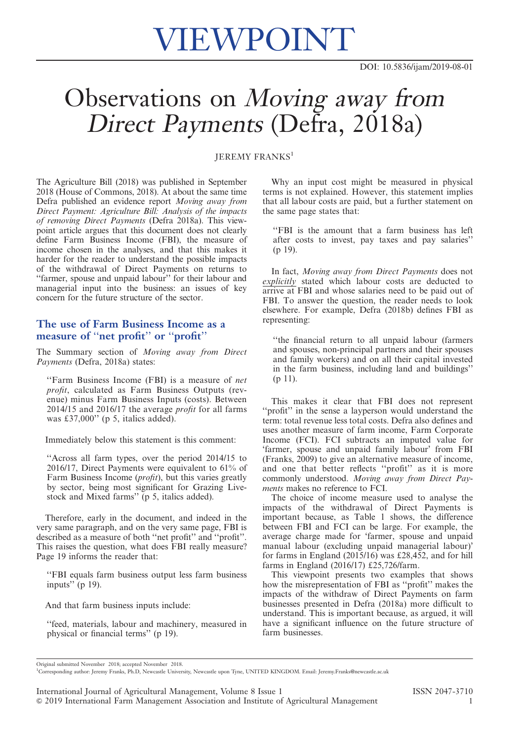# VIEWPOINT

## Observations on Moving away from Direct Payments (Defra, 2018a)

#### JEREMY FRANKS<sup>1</sup>

The Agriculture Bill (2018) was published in September 2018 (House of Commons, 2018). At about the same time Defra published an evidence report Moving away from<br>Direct Payment: Agriculture Bill: Analysis of the impacts of removing Direct Payments (Defra 2018a). This view-<br>point article argues that this document does not clearly point article argues that this document does not clearly define Farm Business Income (FBI), the measure of income chosen in the analyses, and that this makes it harder for the reader to understand the possible impacts of the withdrawal of Direct Payments on returns to ''farmer, spouse and unpaid labour'' for their labour and managerial input into the business: an issues of key concern for the future structure of the sector.

### The use of Farm Business Income as a measure of ''net profit'' or ''profit''

The Summary section of Moving away from Direct Payments (Defra, 2018a) states:

''Farm Business Income (FBI) is a measure of net profit, calculated as Farm Business Outputs (revenue) minus Farm Business Inputs (costs). Between 2014/15 and 2016/17 the average profit for all farms was £37,000" (p 5, italics added).

Immediately below this statement is this comment:

''Across all farm types, over the period 2014/15 to 2016/17, Direct Payments were equivalent to 61% of Farm Business Income (profit), but this varies greatly by sector, being most significant for Grazing Livestock and Mixed farms'' (p 5, italics added).

Therefore, early in the document, and indeed in the very same paragraph, and on the very same page, FBI is described as a measure of both ''net profit'' and ''profit''. This raises the question, what does FBI really measure? Page 19 informs the reader that:

''FBI equals farm business output less farm business inputs" (p 19).

And that farm business inputs include:

''feed, materials, labour and machinery, measured in physical or financial terms'' (p 19).

Why an input cost might be measured in physical terms is not explained. However, this statement implies that all labour costs are paid, but a further statement on the same page states that:

''FBI is the amount that a farm business has left after costs to invest, pay taxes and pay salaries'' (p 19).

In fact, Moving away from Direct Payments does not explicitly stated which labour costs are deducted to arrive at FBI and whose salaries need to be paid out of FBI. To answer the question, the reader needs to look elsewhere. For example, Defra (2018b) defines FBI as representing:

''the financial return to all unpaid labour (farmers and spouses, non-principal partners and their spouses and family workers) and on all their capital invested in the farm business, including land and buildings'' (p 11).

This makes it clear that FBI does not represent ''profit'' in the sense a layperson would understand the term: total revenue less total costs. Defra also defines and uses another measure of farm income, Farm Corporate Income (FCI). FCI subtracts an imputed value for 'farmer, spouse and unpaid family labour' from FBI (Franks, 2009) to give an alternative measure of income, and one that better reflects "profit" as it is more commonly understood. Moving away from Direct Payments makes no reference to FCI.

The choice of income measure used to analyse the impacts of the withdrawal of Direct Payments is important because, as Table 1 shows, the difference between FBI and FCI can be large. For example, the average charge made for 'farmer, spouse and unpaid manual labour (excluding unpaid managerial labour)' for farms in England  $(2015/16)$  was £28,452, and for hill farms in England  $(2016/17)$  £25,726/farm.

This viewpoint presents two examples that shows how the misrepresentation of FBI as ''profit'' makes the impacts of the withdraw of Direct Payments on farm businesses presented in Defra (2018a) more difficult to understand. This is important because, as argued, it will have a significant influence on the future structure of farm businesses.

Original submitted November 2018; accepted November 2018.

<sup>1</sup> Corresponding author: Jeremy Franks, Ph.D, Newcastle University, Newcastle upon Tyne, UNITED KINGDOM. Email: Jeremy.Franks@newcastle.ac.uk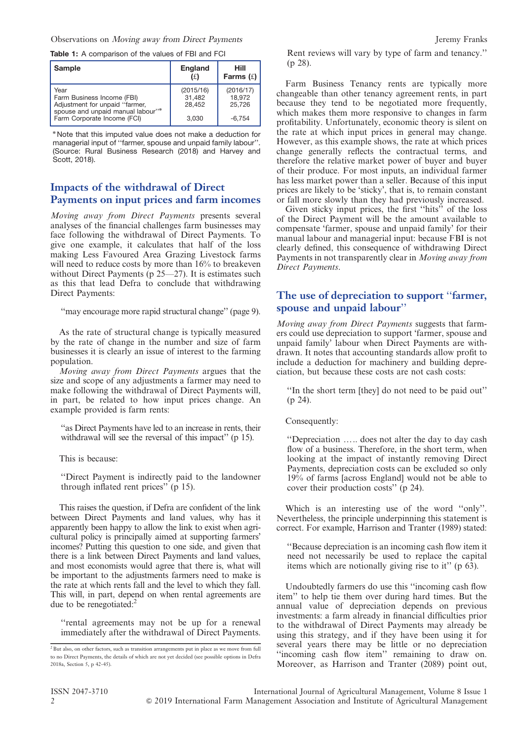#### Observations on Moving away from Direct Payments Jeremy Franks

Table 1: A comparison of the values of FBI and FCI

| <b>Sample</b>                                                                                             | England<br>(£)                | Hill<br>Farms $(f)$           |
|-----------------------------------------------------------------------------------------------------------|-------------------------------|-------------------------------|
| Year<br>Farm Business Income (FBI)<br>Adjustment for unpaid "farmer,<br>spouse and unpaid manual labour"* | (2015/16)<br>31,482<br>28,452 | (2016/17)<br>18,972<br>25.726 |
| Farm Corporate Income (FCI)                                                                               | 3.030                         | $-6.754$                      |

<sup>n</sup> Note that this imputed value does not make a deduction for managerial input of ''farmer, spouse and unpaid family labour''. (Source: Rural Business Research (2018) and Harvey and Scott, 2018).

### Impacts of the withdrawal of Direct Payments on input prices and farm incomes

Moving away from Direct Payments presents several analyses of the financial challenges farm businesses may face following the withdrawal of Direct Payments. To give one example, it calculates that half of the loss making Less Favoured Area Grazing Livestock farms will need to reduce costs by more than  $16%$  to breakeven without Direct Payments (p 25—27). It is estimates such as this that lead Defra to conclude that withdrawing Direct Payments:

''may encourage more rapid structural change'' (page 9).

As the rate of structural change is typically measured by the rate of change in the number and size of farm businesses it is clearly an issue of interest to the farming population.

Moving away from Direct Payments argues that the size and scope of any adjustments a farmer may need to make following the withdrawal of Direct Payments will, in part, be related to how input prices change. An example provided is farm rents:

''as Direct Payments have led to an increase in rents, their withdrawal will see the reversal of this impact" (p 15).

This is because:

''Direct Payment is indirectly paid to the landowner through inflated rent prices'' (p 15).

This raises the question, if Defra are confident of the link between Direct Payments and land values, why has it apparently been happy to allow the link to exist when agricultural policy is principally aimed at supporting farmers' incomes? Putting this question to one side, and given that there is a link between Direct Payments and land values, and most economists would agree that there is, what will be important to the adjustments farmers need to make is the rate at which rents fall and the level to which they fall. This will, in part, depend on when rental agreements are due to be renegotiated: $<sup>2</sup>$ </sup>

''rental agreements may not be up for a renewal immediately after the withdrawal of Direct Payments. Rent reviews will vary by type of farm and tenancy.'' (p 28).

Farm Business Tenancy rents are typically more changeable than other tenancy agreement rents, in part because they tend to be negotiated more frequently, which makes them more responsive to changes in farm profitability. Unfortunately, economic theory is silent on the rate at which input prices in general may change. However, as this example shows, the rate at which prices change generally reflects the contractual terms, and therefore the relative market power of buyer and buyer of their produce. For most inputs, an individual farmer has less market power than a seller. Because of this input prices are likely to be 'sticky', that is, to remain constant or fall more slowly than they had previously increased.

Given sticky input prices, the first ''hits'' of the loss of the Direct Payment will be the amount available to compensate 'farmer, spouse and unpaid family' for their manual labour and managerial input: because FBI is not clearly defined, this consequence of withdrawing Direct Payments in not transparently clear in Moving away from Direct Payments.

### The use of depreciation to support ''farmer, spouse and unpaid labour''

Moving away from Direct Payments suggests that farmers could use depreciation to support 'farmer, spouse and unpaid family' labour when Direct Payments are withdrawn. It notes that accounting standards allow profit to include a deduction for machinery and building depreciation, but because these costs are not cash costs:

''In the short term [they] do not need to be paid out'' (p 24).

Consequently:

"Depreciation ..... does not alter the day to day cash flow of a business. Therefore, in the short term, when looking at the impact of instantly removing Direct Payments, depreciation costs can be excluded so only 19% of farms [across England] would not be able to cover their production costs'' (p 24).

Which is an interesting use of the word ''only''. Nevertheless, the principle underpinning this statement is correct. For example, Harrison and Tranter (1989) stated:

''Because depreciation is an incoming cash flow item it need not necessarily be used to replace the capital items which are notionally giving rise to it'' (p 63).

Undoubtedly farmers do use this ''incoming cash flow item'' to help tie them over during hard times. But the annual value of depreciation depends on previous investments: a farm already in financial difficulties prior to the withdrawal of Direct Payments may already be using this strategy, and if they have been using it for several years there may be little or no depreciation ''incoming cash flow item'' remaining to draw on. Moreover, as Harrison and Tranter (2089) point out,

 $2$  But also, on other factors, such as transition arrangements put in place as we move from full to no Direct Payments, the details of which are not yet decided (see possible options in Defra 2018a, Section 5, p 42-45).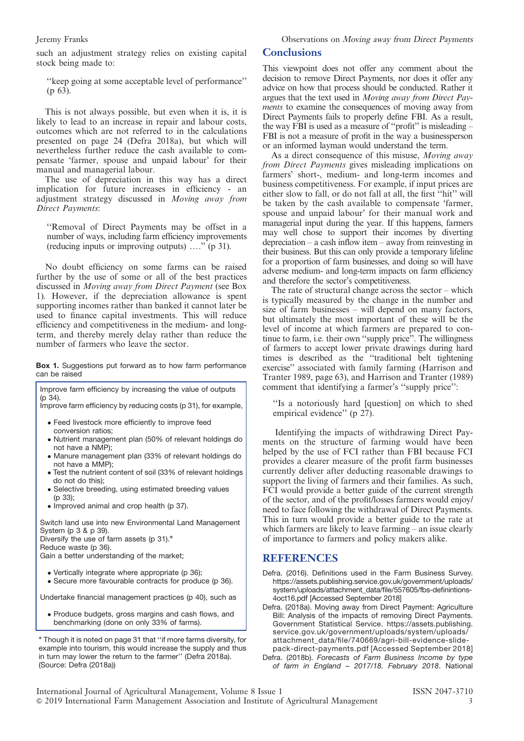such an adjustment strategy relies on existing capital stock being made to:

''keep going at some acceptable level of performance'' (p 63).

This is not always possible, but even when it is, it is likely to lead to an increase in repair and labour costs, outcomes which are not referred to in the calculations presented on page 24 (Defra 2018a), but which will nevertheless further reduce the cash available to compensate 'farmer, spouse and unpaid labour' for their manual and managerial labour.

The use of depreciation in this way has a direct implication for future increases in efficiency - an adjustment strategy discussed in Moving away from Direct Payments:

''Removal of Direct Payments may be offset in a number of ways, including farm efficiency improvements (reducing inputs or improving outputs)  $\ldots$ <sup>"</sup> (p 31).

No doubt efficiency on some farms can be raised further by the use of some or all of the best practices discussed in Moving away from Direct Payment (see Box 1). However, if the depreciation allowance is spent supporting incomes rather than banked it cannot later be used to finance capital investments. This will reduce efficiency and competitiveness in the medium- and longterm, and thereby merely delay rather than reduce the number of farmers who leave the sector.

Box 1. Suggestions put forward as to how farm performance can be raised

Improve farm efficiency by increasing the value of outputs (p 34). Improve farm efficiency by reducing costs (p 31), for example, Feed livestock more efficiently to improve feed conversion ratios; Nutrient management plan (50% of relevant holdings do not have a NMP);

- Manure management plan (33% of relevant holdings do not have a MMP);
- Test the nutrient content of soil (33% of relevant holdings do not do this);
- Selective breeding, using estimated breeding values (p 33);
- Improved animal and crop health (p 37).

Switch land use into new Environmental Land Management System (p 3 & p 39). Diversify the use of farm assets (p  $31$ ).\* Reduce waste (p 36).

Gain a better understanding of the market;

(Source: Defra (2018a))

- 
- Vertically integrate where appropriate (p 36); Secure more favourable contracts for produce (p 36).

Undertake financial management practices (p 40), such as

 Produce budgets, gross margins and cash flows, and benchmarking (done on only 33% of farms).

<sup>n</sup> Though it is noted on page 31 that ''if more farms diversity, for example into tourism, this would increase the supply and thus in turn may lower the return to the farmer'' (Defra 2018a).

Jeremy Franks Observations on Moving away from Direct Payments

#### **Conclusions**

This viewpoint does not offer any comment about the decision to remove Direct Payments, nor does it offer any advice on how that process should be conducted. Rather it argues that the text used in Moving away from Direct Payments to examine the consequences of moving away from Direct Payments fails to properly define FBI. As a result, the way FBI is used as a measure of ''profit'' is misleading – FBI is not a measure of profit in the way a businessperson or an informed layman would understand the term.

As a direct consequence of this misuse, Moving away from Direct Payments gives misleading implications on farmers' short-, medium- and long-term incomes and business competitiveness. For example, if input prices are either slow to fall, or do not fall at all, the first ''hit'' will be taken by the cash available to compensate 'farmer, spouse and unpaid labour' for their manual work and managerial input during the year. If this happens, farmers may well chose to support their incomes by diverting depreciation – a cash inflow item – away from reinvesting in their business. But this can only provide a temporary lifeline for a proportion of farm businesses, and doing so will have adverse medium- and long-term impacts on farm efficiency and therefore the sector's competitiveness.

The rate of structural change across the sector – which is typically measured by the change in the number and size of farm businesses – will depend on many factors, but ultimately the most important of these will be the level of income at which farmers are prepared to continue to farm, i.e. their own ''supply price''. The willingness of farmers to accept lower private drawings during hard times is described as the ''traditional belt tightening exercise'' associated with family farming (Harrison and Tranter 1989, page 63), and Harrison and Tranter (1989) comment that identifying a farmer's ''supply price'':

''Is a notoriously hard [question] on which to shed empirical evidence" (p 27).

Identifying the impacts of withdrawing Direct Payments on the structure of farming would have been helped by the use of FCI rather than FBI because FCI provides a clearer measure of the profit farm businesses currently deliver after deducting reasonable drawings to support the living of farmers and their families. As such, FCI would provide a better guide of the current strength of the sector, and of the profit/losses farmers would enjoy/ need to face following the withdrawal of Direct Payments. This in turn would provide a better guide to the rate at which farmers are likely to leave farming – an issue clearly of importance to farmers and policy makers alike.

#### REFERENCES

Defra. (2016). Definitions used in the Farm Business Survey. https://assets.publishing.service.gov.uk/government/uploads/ system/uploads/attachment\_data/file/557605/fbs-definintions-4oct16.pdf [Accessed September 2018]

Defra. (2018a). Moving away from Direct Payment: Agriculture Bill: Analysis of the impacts of removing Direct Payments. Government Statistical Service. https://assets.publishing. service.gov.uk/government/uploads/system/uploads/ attachment\_data/file/740669/agri-bill-evidence-slide-

pack-direct-payments.pdf [Accessed September 2018] Defra. (2018b). Forecasts of Farm Business Income by type of farm in England – 2017/18. February 2018. National